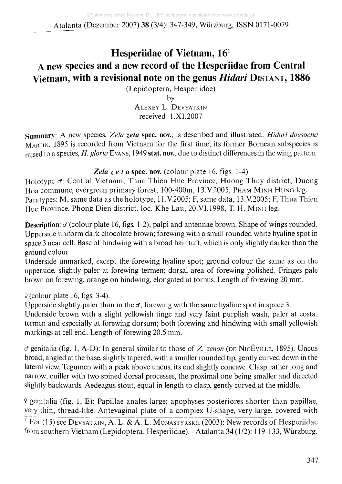## **Hesperiidae of Vietnam, 161 A new species and a new record of the Hesperiidae from Central Vietnam, with a revisional note on the genus** *Hidari* **DISTANT, 1886**

(Lepidoptera, Hesperiidae)

by **A lexey** L. **D evyatkin** received 1.X I.2007

**Summary:** A new species, *Zela zeta* spec, nov., is described and illustrated. *Hidari doesoena* **Martin,** 1895 is recorded from Vietnam for the first time; its former Bornean subspecies is raised to a species, *H. gloria* **Evans,** 1949 stat. nov., due to distinct differences in the wing pattern.

### Zela z e t a spec. nov. (colour plate 16, figs. 1-4)

**Holotype cf:** Central Vietnam, Thua Thien Hue Province, Huong Thuy district, Duong **Hoa** commune, evergreen primary forest, 100-400m, 13.V.2005, **Pham Minh H ung** leg. **Paratypes:** M, same data as the holotype, 11 .V.2005; F, same data, 13.V.2005; F, Thua Thien Hue Province, Phong Dien district, loc. Khe Lau, 20, VI.1998, T. H. MINH leg.

**Description:**  $\sigma$  (colour plate 16, figs. 1-2), palpi and antennae brown. Shape of wings rounded. Upperside uniform dark chocolate brown; forewing with a small rounded white hyaline spot in space 3 near cell. Base of hindwing with a broad hair tuft, which is only slightly darker than the ground colour.

Underside unmarked, except the forewing hyaline spot; ground colour the same as on the upperside, slightly paler at forewing termen; dorsal area of forewing polished. Fringes pale brown on forewing, orange on hindwing, elongated at tornus. Length of forewing 20 mm.

9 (colour plate 16, figs. 3-4).

Upperside slightly paler than in the  $\sigma$ , forewing with the same hyaline spot in space 3.

Underside brown with a slight yellowish tinge and very faint purplish wash, paler at costa, termen and especially at forewing dorsum; both forewing and hindwing with small yellowish markings at cell end. Length of forewing 20.5 mm.

cf genitalia (fig. 1, A-D): In general similar to those of Z. *zenon* **(de N icEville,** 1895). Uncus broad, angled at the base, slightly tapered, with a smaller rounded tip, gently curved down in the lateral view. Tegumen with a peak above uncus, its end slightly concave. Clasp rather long and narrow; cuiller with two spined dorsal processes, the proximal one being smaller and directed slightly backwards. Aedeagus stout, equal in length to clasp, gently curved at the middle.

9 genitalia (fig. 1, E): Papillae anales large; apophyses posteriores shorter than papillae, very thin, thread-like. Antevaginal plate of a complex U-shape, very large, covered with

<sup>1</sup> For (15) see DEVYATKIN, A. L. & A. L. MONASTYRSKII (2003): New records of Hesperiidae from southern Vietnam (Lepidoptera, Hesperiidae). - A talanta 34 **(1/2): 119-133,** Wurzburg.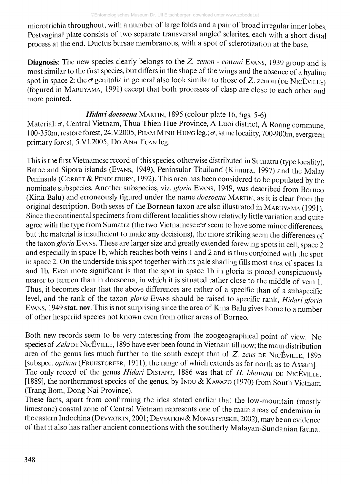microtrichia throughout, with a number of large folds and a pair of broad irregular inner lobes. Postvaginal plate consists of two separate transversal angled sclerites, each with a short distal process at the end. Ductus bursae membranous, with a spot of sclerotization at the base.

Diagnosis: The new species clearly belongs to the Z. *zenon - cowuni* **Evans,** 1939 group and is most similar to the first species, but differs in the shape of the wings and the absence of a hyaline spot in space 2; the  $\sigma$  genitalia in general also look similar to those of Z. zenon ( $\alpha$ E N<sub>IC</sub>E<sub>VILLE</sub>) (fogured in **Maruyama,** 1991) except that both processes of clasp are close to each other and more pointed.

### *Hidari doesoena* **Martin,** 1895 (colour plate 16, figs. 5-6)

Material:  $\sigma$ , Central Vietnam, Thua Thien Hue Province, A Luoi district, A Roang commune, 100-350m, restore forest, 24.V.2005, PHAM MINH HUNG leg.; c, same locality, 700-900m, evergreen primary forest, 5.VI.2005, Do **A nh T uan** leg.

This is the first Vietnamese record of this species, otherwise distributed in Sumatra (type locality), Batoe and Sipora islands **(Evans,** 1949), Peninsular Thailand (Kimura, 1997) and the Malay Peninsula **(CORBET & PENDLEBURY, 1992). This area has been considered to be populated by the** nominate subspecies. Another subspecies, viz. *gloria* **Evans,** 1949, was described from Borneo (Kina Balu) and erroneously figured under the name *doesoena* **Martin,** as it is clear from the original description. Both sexes of the Bornean taxon are also illustrated in **Maruyama** (1991). Since the continental specimens from different localities show relatively little variation and quite agree with the type from Sumatra (the two Vietnamese  $\sigma\sigma$  seem to have some minor differences, but the material is insufficient to make any decisions), the more striking seem the differences of the taxon *gloria* **Evans.** These are larger size and greatly extended forewing spots in cell, space 2 and especially in space 1b, which reaches both veins 1 and 2 and is thus conjoined with the spot in space 2. On the underside this spot together with its pale shading fills most area of spaces la and lb. Even more significant is that the spot in space lb in gloria is placed conspicuously nearer to termen than in doesoena, in which it is situated rather close to the middle of vein 1. Thus, it becomes clear that the above differences are rather of a specific than of a subspecific level, and the rank of the taxon *gloria* **Evans** should be raised to specific rank, *Hidari gloria* **Evans,** 1949 stat. nov. This is not surprising since the area of Kina Balu gives home to a number of other hesperiid species not known even from other areas of Borneo.

Both new records seem to be very interesting from the zoogeographical point of view. No species of *Zela* DE NICÈVILLE, 1895 have ever been found in Vietnam till now; the main distribution area of the genus lies much further to the south except that of Z. *zeus* **de N icEville,** 1895 [subspec. *optima* **(Fruhstorfer,** 1911), the range of which extends as far north as to Assam], The only record of the genus *Hidari* **D istant,** 1886 was that of *H. bhawani* **de N icEville,** [1889], the northernmost species of the genus, by **Inou & Kawazo** (1970) from South Vietnam (Trang Bom, Dong Nai Province).

These facts, apart from confirming the idea stated earlier that the low-mountain (mostly limestone) coastal zone of Central Vietnam represents one of the main areas of endemism in the eastern Indochina **(D evyatkin,** 2001; **D evyatkin & Monastyrskii,** 2002), may be an evidence of that it also has rather ancient connections with the southerly Malayan-Sundanian fauna.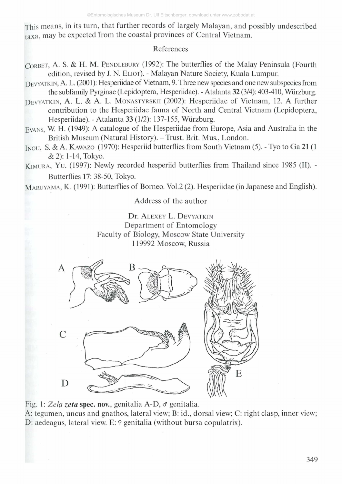This means, in its turn, that further records of largely Malayan, and possibly undescribed taxa, may be expected from the coastal provinces of Central Vietnam.

### References

- **Corbet,** A. S. & H. M. **Pendlebury** (1992): The butterflies of the Malay Peninsula (Fourth edition, revised by J. N. **Eliot).** - Malayan Nature Society, Kuala Lumpur.
- Devyatkin, A. L. (2001): Hesperiidae of Vietnam, 9. Three new species and one new subspecies from the subfamily Pyrginae (Lepidoptera, Hesperiidae). - Atalanta 32 (3/4): 403-410, Wurzburg.
- **Devyatkin,** A. L. & A. L. **Monastyrskii** (2002): Hesperiidae of Vietnam, 12. A further contribution to the Hesperiidae fauna of North and Central Vietnam (Lepidoptera, Hesperiidae). - Atalanta 33 (1/2): 137-155, Wurzburg.
- **Evans,** W. H. (1949): A catalogue of the Hesperiidae from Europe, Asia and Australia in the British Museum (Natural History). - Trust. Brit. Mus., London.
- **Inou,** S. & A. **Kawazo** (1970): Hesperiid butterflies from South Vietnam (5). Tyo to Ga 21 (1 & 2): 1-14, Tokyo.
- **Kimura, Y <sup>u</sup> .** (1997): Newly recorded hesperiid butterflies from Thailand since 1985 (II). Butterflies 17: 38-50, Tokyo.

**Maruyama,** K. (1991): Butterflies of Borneo. Vol.2 (2). Hesperiidae (in Japanese and English).

Address of the author

Dr. **A lexey** L. **D evyatkin** Department of Entomology Faculty of Biology, Moscow State University 119992 Moscow, Russia



Fig. 1: *Zela zeta* spec, nov., genitalia A-D, *d* genitalia.

A: tegumen, uncus and gnathos, lateral view; B: id., dorsal view; C: right clasp, inner view; D: aedeagus, lateral view. E: 9 genitalia (without bursa copulatrix).